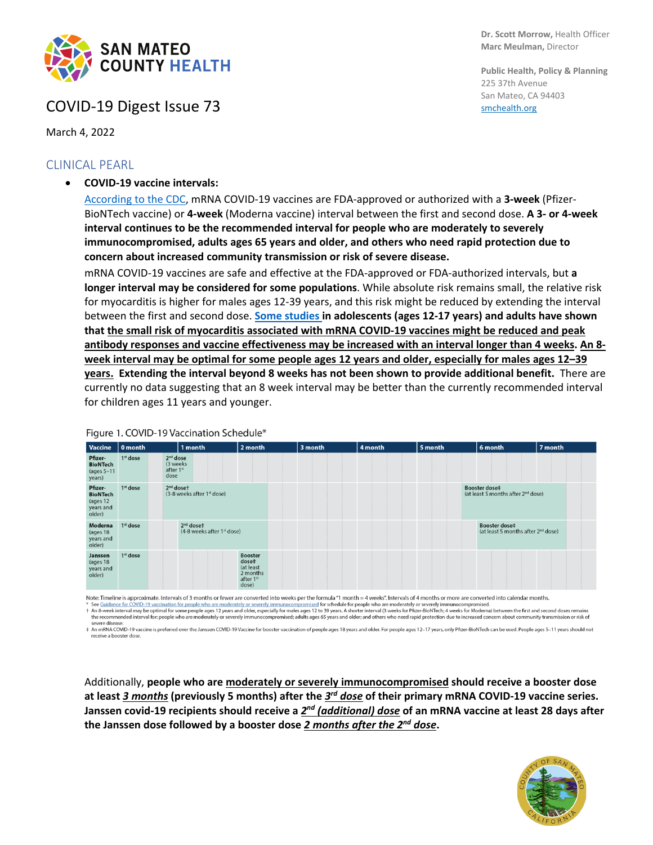

### COVID-19 Digest Issue 73

March 4, 2022

### CLINICAL PEARL

• **COVID-19 vaccine intervals:** 

[According to the CDC,](https://www.cdc.gov/vaccines/covid-19/clinical-considerations/covid-19-vaccines-us.html) mRNA COVID-19 vaccines are FDA-approved or authorized with a **3-week** (Pfizer-BioNTech vaccine) or **4-week** (Moderna vaccine) interval between the first and second dose. **A 3- or 4-week interval continues to be the recommended interval for people who are moderately to severely immunocompromised, adults ages 65 years and older, and others who need rapid protection due to concern about increased community transmission or risk of severe disease.**

mRNA COVID-19 vaccines are safe and effective at the FDA-approved or FDA-authorized intervals, but **a longer interval may be considered for some populations**. While absolute risk remains small, the relative risk for myocarditis is higher for males ages 12-39 years, and this risk might be reduced by extending the interval between the first and second dose. **[Some studies](https://www.cdc.gov/vaccines/acip/meetings/downloads/slides-2022-02-04/11-COVID-Moulia-508.pdf) in adolescents (ages 12-17 years) and adults have shown that the small risk of myocarditis associated with mRNA COVID-19 vaccines might be reduced and peak antibody responses and vaccine effectiveness may be increased with an interval longer than 4 weeks. An 8 week interval may be optimal for some people ages 12 years and older, especially for males ages 12–39 years. Extending the interval beyond 8 weeks has not been shown to provide additional benefit.** There are currently no data suggesting that an 8 week interval may be better than the currently recommended interval for children ages 11 years and younger.

Figure 1. COVID-19 Vaccination Schedule\*



recommended interval for: people who are moderately or severely immunocompromised.<br>The Guidance for COVID-19 vaccination for people who are moderately or severely immunocompromised for schedule for people who are moderatel

evere disea # An mRNA COVID-19 vaccine is preferred over the Janssen COVID-19 Vaccine for booster vaccination of people ages 18 years and older. For people ages 12-17 years, only Pfizer-BioNTech can be used. People ages 5-11 years sho

Additionally, **people who are moderately or severely immunocompromised should receive a booster dose at least** *3 months* **(previously 5 months) after the** *3rd dose* **of their primary mRNA COVID-19 vaccine series. Janssen covid-19 recipients should receive a** *2nd (additional) dose* **of an mRNA vaccine at least 28 days after the Janssen dose followed by a booster dose** *2 months after the 2nd dose***.** 



**Dr. Scott Morrow,** Health Officer **Marc Meulman,** Director

**Public Health, Policy & Planning** 225 37th Avenue San Mateo, CA 94403 [smchealth.org](https://www.smchealth.org/)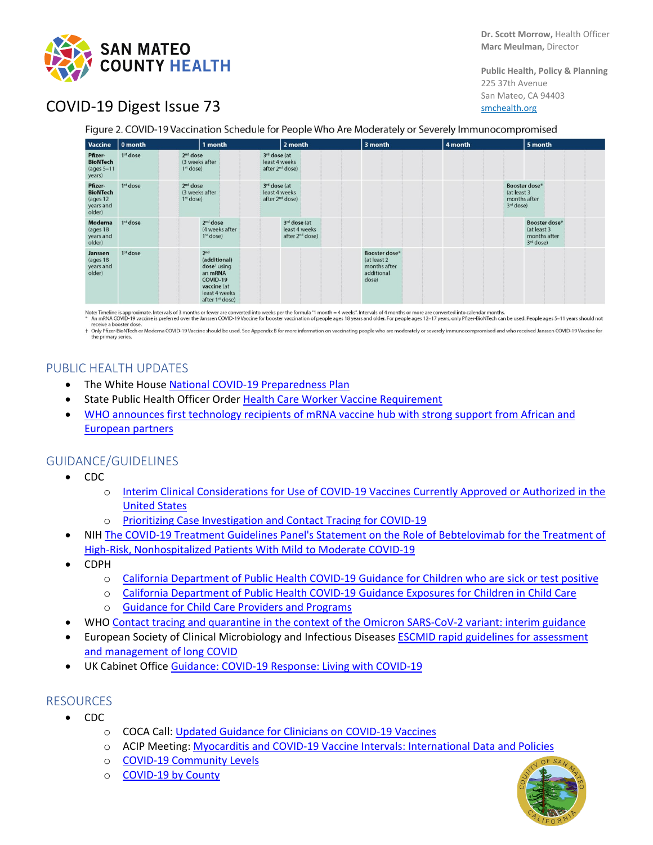

# COVID-19 Digest Issue 73

#### Figure 2. COVID-19 Vaccination Schedule for People Who Are Moderately or Severely Immunocompromised

| Vaccine                                                       | 0 month              |                                                       | 1 month                                                                                                                                          |                                                              | 2 month                                                      | 3 month                                                              | 4 month |                           | 5 month                                                      |
|---------------------------------------------------------------|----------------------|-------------------------------------------------------|--------------------------------------------------------------------------------------------------------------------------------------------------|--------------------------------------------------------------|--------------------------------------------------------------|----------------------------------------------------------------------|---------|---------------------------|--------------------------------------------------------------|
| Pfizer-<br><b>BioNTech</b><br>(ages $5-11$ )<br>years)        | 1 <sup>st</sup> dose | $2nd$ dose<br>(3 weeks after<br>$1st$ dose)           |                                                                                                                                                  | 3rd dose (at<br>least 4 weeks                                | after 2 <sup>nd</sup> dose)                                  |                                                                      |         |                           |                                                              |
| Pfizer-<br><b>BioNTech</b><br>(ages 12<br>years and<br>older) | 1 <sup>st</sup> dose | 2 <sup>nd</sup> dose<br>(3 weeks after<br>$1st$ dose) |                                                                                                                                                  | 3rd dose (at<br>least 4 weeks<br>after 2 <sup>nd</sup> dose) |                                                              |                                                                      |         | (at least 3)<br>3rd dose) | Booster dose*<br>months after                                |
| Moderna<br>(ages 18<br>years and<br>older)                    | 1st dose             |                                                       | 2 <sup>nd</sup> dose<br>(4 weeks after<br>$1st$ dose)                                                                                            |                                                              | 3rd dose (at<br>least 4 weeks<br>after 2 <sup>nd</sup> dose) |                                                                      |         |                           | Booster dose*<br>(at least 3)<br>months after<br>$3rd$ dose) |
| Janssen<br>(ages 18<br>years and<br>older)                    | 1st dose             |                                                       | 2 <sub>nd</sub><br>(additional)<br>dose <sup>t</sup> using<br>an mRNA<br>COVID-19<br>vaccine (at<br>least 4 weeks<br>after 1 <sup>st</sup> dose) |                                                              |                                                              | Booster dose*<br>(at least 2)<br>months after<br>additional<br>dose) |         |                           |                                                              |

Note: Timeline is approximate. Intervals of 3 months or fewer are converted into weeks per the formula"1 month = 4 weeks". Intervals of 4 months or more are converted into calendar months.<br>\* An mRNA COVID-19 vaccine is pre

receive a booster dose t Only Pfizer-BioNTech or Moderna COVID-19 Vaccine should be used. See Appendix B for more information on vaccinating people who are moderately or severely immunocompromised and who received Janssen COVID-19 Vaccine for primary series

### PUBLIC HEALTH UPDATES

- The White Hous[e National COVID-19 Preparedness Plan](https://www.whitehouse.gov/covidplan/)
- State Public Health Officer Order [Health Care Worker Vaccine Requirement](https://www.cdph.ca.gov/Programs/CID/DCDC/Pages/COVID-19/Order-of-the-State-Public-Health-Officer-Health-Care-Worker-Vaccine-Requirement.aspx)
- [WHO announces first technology recipients of mRNA vaccine hub with strong support from African and](https://www.who.int/news/item/18-02-2022-who-announces-first-technology-recipients-of-mrna-vaccine-hub-with-strong-support-from-african-and-european-partners)  [European partners](https://www.who.int/news/item/18-02-2022-who-announces-first-technology-recipients-of-mrna-vaccine-hub-with-strong-support-from-african-and-european-partners)

### GUIDANCE/GUIDELINES

- CDC
	- o [Interim Clinical Considerations for Use of COVID-19 Vaccines Currently Approved or Authorized in the](https://www.cdc.gov/vaccines/covid-19/clinical-considerations/covid-19-vaccines-us.html)  [United States](https://www.cdc.gov/vaccines/covid-19/clinical-considerations/covid-19-vaccines-us.html)
	- [Prioritizing Case Investigation and Contact Tracing for COVID-19](https://www.cdc.gov/coronavirus/2019-ncov/php/contact-tracing/contact-tracing-plan/prioritization.html#print)
- NIH [The COVID-19 Treatment Guidelines Panel's Statement on the Role of Bebtelovimab for the Treatment of](https://www.covid19treatmentguidelines.nih.gov/therapies/statement-on-bebtelovimab/)  [High-Risk, Nonhospitalized Patients With Mild to Moderate COVID-19](https://www.covid19treatmentguidelines.nih.gov/therapies/statement-on-bebtelovimab/)
- CDPH
	- o [California Department of Public Health COVID-19 Guidance for Children who are sick or test positive](https://protect-us.mimecast.com/s/U8fACDkZQNFPQg34fWK5Ic)
	- o [California Department of Public Health COVID-19 Guidance Exposures for Children in Child Care](https://protect-us.mimecast.com/s/KTK0CERX0OIPKRpEfwJ4TP)
	- **[Guidance for Child Care Providers and Programs](https://www.cdph.ca.gov/Programs/CID/DCDC/Pages/COVID-19/Child-Care-Guidance.aspx)**
- WH[O Contact tracing and quarantine in the context of the Omicron SARS-CoV-2 variant: interim guidance](https://worldhealthorganization.createsend1.com/t/d-l-audhutk-jyyhcddb-r/)
- European Society of Clinical Microbiology and Infectious Diseases [ESCMID rapid guidelines for assessment](https://www.clinicalmicrobiologyandinfection.com/article/S1198-743X(22)00092-1/fulltext#secsectitle0060)  [and management of long COVID](https://www.clinicalmicrobiologyandinfection.com/article/S1198-743X(22)00092-1/fulltext#secsectitle0060)
- UK Cabinet Office [Guidance: COVID-19 Response: Living with COVID-19](https://www.gov.uk/government/publications/covid-19-response-living-with-covid-19)

#### RESOURCES

- CDC
	- o COCA Call[: Updated Guidance for Clinicians on COVID-19 Vaccines](https://emergency.cdc.gov/coca/ppt/2022/022422_slides.pdf)
	- o ACIP Meeting: [Myocarditis and COVID-19 Vaccine Intervals: International Data and Policies](https://www.cdc.gov/vaccines/acip/meetings/downloads/slides-2022-02-04/11-COVID-Moulia-508.pdf)
	- o [COVID-19 Community Levels](https://www.cdc.gov/coronavirus/2019-ncov/science/community-levels.html?CDC_AA_refVal=https%3A%2F%2Fwww.cdc.gov%2Fcoronavirus%2F2019-ncov%2Fmore%2Faboutcovidcountycheck%2Findex.html)
	- o [COVID-19 by County](https://www.cdc.gov/coronavirus/2019-ncov/your-health/covid-by-county.html)

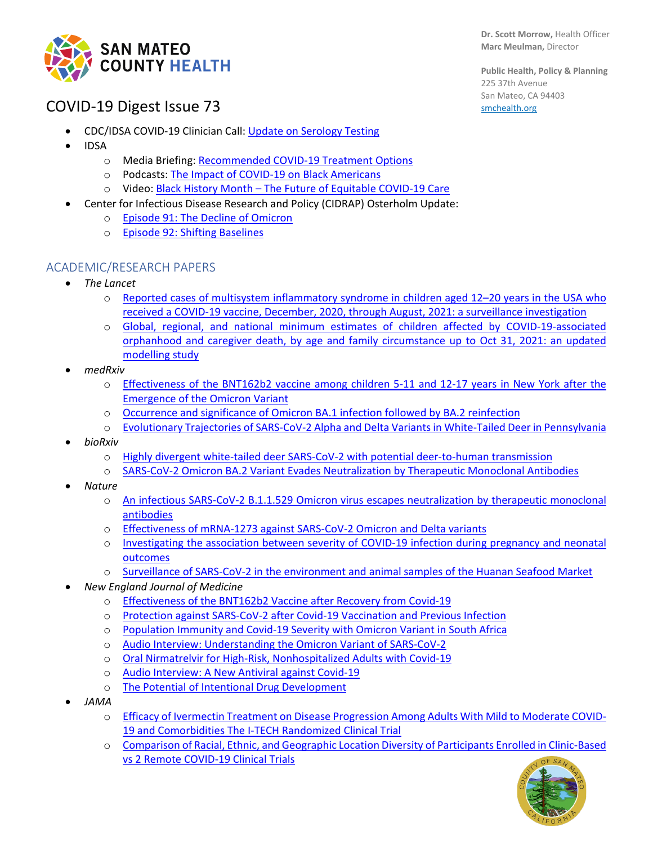

**Dr. Scott Morrow,** Health Officer **Marc Meulman,** Director

**Public Health, Policy & Planning** 225 37th Avenue San Mateo, CA 94403 [smchealth.org](https://www.smchealth.org/)

### COVID-19 Digest Issue 73

- CDC/IDSA COVID-19 Clinician Call: [Update on Serology Testing](https://www.idsociety.org/multimedia/clinician-calls/cdcidsa-covid-19-clinician-call-update-on-serology-testing/)
- IDSA
	- o Media Briefing: [Recommended COVID-19 Treatment Options](https://www.idsociety.org/multimedia/videos/idsa-media-briefing-recommended-covid-19-treatment-options/)
	- o Podcasts: [The Impact of COVID-19 on Black Americans](https://www.idsociety.org/multimedia/podcasts/the-impact-of-covid-19-on-black-americans/)
	- o Video: Black History Month [The Future of Equitable COVID-19 Care](https://www.idsociety.org/multimedia/all-videos/cultural-awareness-series-black-history-month--the-future-of-equitable-covid-19-care/)
- Center for Infectious Disease Research and Policy (CIDRAP) Osterholm Update:
	- o [Episode 91: The Decline of Omicron](https://www.cidrap.umn.edu/covid-19/podcasts-webinars/episode-91)
	- o [Episode 92: Shifting Baselines](https://www.cidrap.umn.edu/covid-19/podcasts-webinars/episode-92)

#### ACADEMIC/RESEARCH PAPERS

- *The Lancet*
	- o [Reported cases of multisystem inflammatory syndrome in children aged 12–20 years in the USA who](https://www.thelancet.com/journals/lanchi/article/PIIS2352-4642(22)00028-1/fulltext)  [received a COVID-19 vaccine, December, 2020, through August, 2021: a surveillance investigation](https://www.thelancet.com/journals/lanchi/article/PIIS2352-4642(22)00028-1/fulltext)
	- o [Global, regional, and national minimum estimates of children affected by COVID-19-associated](https://www.thelancet.com/journals/lanchi/article/PIIS2352-4642(22)00005-0/fulltext)  [orphanhood and caregiver death, by age and family circumstance up to Oct 31, 2021: an updated](https://www.thelancet.com/journals/lanchi/article/PIIS2352-4642(22)00005-0/fulltext)  [modelling study](https://www.thelancet.com/journals/lanchi/article/PIIS2352-4642(22)00005-0/fulltext)
- *medRxiv*
	- o [Effectiveness of the BNT162b2 vaccine among children 5-11 and 12-17 years in](https://www.medrxiv.org/content/10.1101/2022.02.25.22271454v1) New York after the [Emergence of the Omicron Variant](https://www.medrxiv.org/content/10.1101/2022.02.25.22271454v1)
	- o [Occurrence and significance of Omicron BA.1 infection followed by BA.2 reinfection](https://www.medrxiv.org/content/10.1101/2022.02.19.22271112v1)
	- o [Evolutionary Trajectories of SARS-CoV-2 Alpha and Delta Variants in White-Tailed Deer in Pennsylvania](https://www.medrxiv.org/content/10.1101/2022.02.17.22270679v2.full.pdf)
- *bioRxiv*
	- o [Highly divergent white-tailed deer SARS-CoV-2 with potential deer-to-human transmission](https://www.biorxiv.org/content/10.1101/2022.02.22.481551v1.full)
	- o [SARS-CoV-2 Omicron BA.2 Variant Evades Neutralization by Therapeutic Monoclonal Antibodies](https://www.biorxiv.org/content/10.1101/2022.02.15.480166v2)
- *Nature*
	- o [An infectious SARS-CoV-2 B.1.1.529 Omicron virus escapes neutralization by therapeutic monoclonal](https://www.nature.com/articles/s41591-021-01678-y)  [antibodies](https://www.nature.com/articles/s41591-021-01678-y)
	- o [Effectiveness of mRNA-1273 against SARS-CoV-2 Omicron and Delta variants](https://www.nature.com/articles/s41591-022-01753-y)
	- o [Investigating the association between severity of COVID-19 infection during pregnancy and neonatal](https://www.nature.com/articles/s41598-022-07093-8)  [outcomes](https://www.nature.com/articles/s41598-022-07093-8)
	- o [Surveillance of SARS-CoV-2 in the environment and animal samples of the Huanan Seafood Market](https://www.researchsquare.com/article/rs-1370392/v1)
- *New England Journal of Medicine*
	- o Effectiveness of [the BNT162b2 Vaccine after Recovery from Covid-19](https://www.nejm.org/doi/full/10.1056/NEJMoa2119497)
	- o [Protection against SARS-CoV-2 after Covid-19 Vaccination and Previous Infection](https://www.nejm.org/doi/full/10.1056/NEJMoa2118691)
	- o [Population Immunity and Covid-19 Severity with Omicron Variant in South Africa](https://www.nejm.org/doi/full/10.1056/NEJMoa2119658)
	- o [Audio Interview: Understanding the Omicron Variant of SARS-CoV-2](https://www.nejm.org/doi/full/10.1056/NEJMe2202699)
	- o [Oral Nirmatrelvir for High-Risk, Nonhospitalized Adults with Covid-19](https://www.nejm.org/doi/full/10.1056/NEJMoa2118542)
	- o [Audio Interview: A New Antiviral against Covid-19](https://www.nejm.org/doi/full/10.1056/NEJMe2202349)
	- o [The Potential of Intentional Drug Development](https://www.nejm.org/doi/full/10.1056/NEJMe2202160)
- *JAMA*
	- o [Efficacy of Ivermectin Treatment on Disease Progression Among Adults With Mild to Moderate COVID-](https://jamanetwork.com/journals/jamainternalmedicine/fullarticle/2789362)[19 and Comorbidities The I-TECH Randomized Clinical Trial](https://jamanetwork.com/journals/jamainternalmedicine/fullarticle/2789362)
	- o Comparison of Racial, Ethnic, and Geographic [Location Diversity of Participants Enrolled in Clinic-Based](https://jamanetwork.com/journals/jamanetworkopen/fullarticle/2789002)  [vs 2 Remote COVID-19 Clinical Trials](https://jamanetwork.com/journals/jamanetworkopen/fullarticle/2789002)

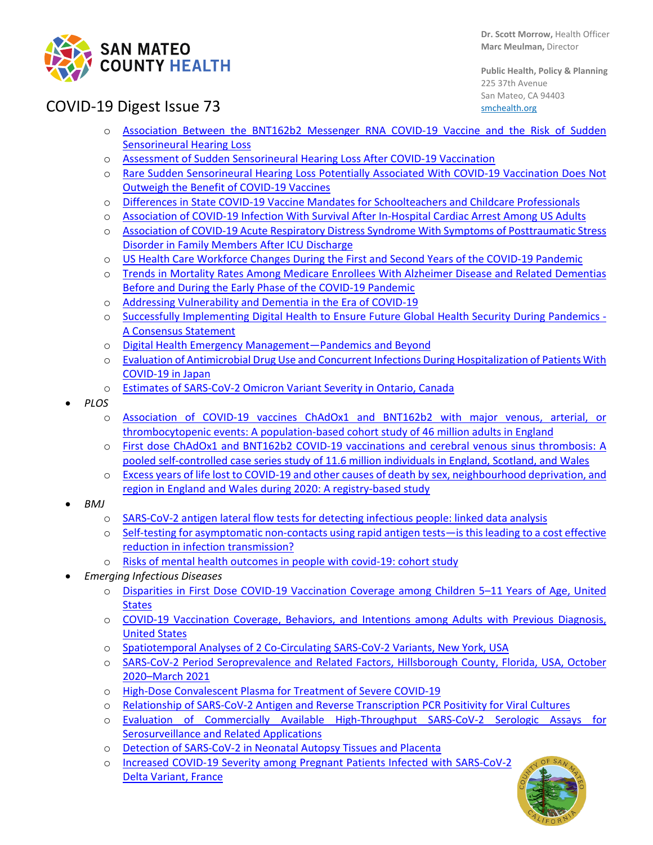

## COVID-19 Digest Issue 73

- o [Association Between the BNT162b2 Messenger RNA COVID-19 Vaccine and the Risk of Sudden](https://jamanetwork.com/journals/jamaotolaryngology/fullarticle/2789497)  [Sensorineural Hearing Loss](https://jamanetwork.com/journals/jamaotolaryngology/fullarticle/2789497)
- o [Assessment of Sudden Sensorineural Hearing Loss After COVID-19 Vaccination](https://jamanetwork.com/journals/jamaotolaryngology/fullarticle/2789496)
- o [Rare Sudden Sensorineural Hearing Loss Potentially Associated With COVID-19 Vaccination Does Not](https://jamanetwork.com/journals/jamaotolaryngology/fullarticle/2789500)  [Outweigh the Benefit of COVID-19 Vaccines](https://jamanetwork.com/journals/jamaotolaryngology/fullarticle/2789500)
- o Differences in State COVID-19 Vaccine Mandates for Schoolteachers and Childcare Professionals
- o [Association of COVID-19 Infection With Survival After In-Hospital Cardiac Arrest Among US Adults](https://jamanetwork.com/journals/jamanetworkopen/fullarticle/2789573)
- o [Association of COVID-19 Acute Respiratory Distress Syndrome With Symptoms of Posttraumatic Stress](https://jamanetwork.com/journals/jama/fullarticle/2789436)  [Disorder in Family Members After ICU Discharge](https://jamanetwork.com/journals/jama/fullarticle/2789436)
- o [US Health Care Workforce Changes During the First and Second Years of the COVID-19 Pandemic](https://jamanetwork.com/journals/jama-health-forum/fullarticle/2789521)
- o [Trends in Mortality Rates Among Medicare Enrollees With Alzheimer Disease and Related Dementias](https://jamanetwork.com/journals/jamaneurology/fullarticle/2789614)  [Before and During the Early Phase of the COVID-19 Pandemic](https://jamanetwork.com/journals/jamaneurology/fullarticle/2789614)
- o [Addressing Vulnerability and Dementia in the Era of COVID-19](https://jamanetwork.com/journals/jamaneurology/fullarticle/2789616)
- o [Successfully Implementing Digital Health to Ensure Future Global Health Security During Pandemics -](https://jamanetwork.com/journals/jamanetworkopen/fullarticle/2789277) [A Consensus Statement](https://jamanetwork.com/journals/jamanetworkopen/fullarticle/2789277)
- o [Digital Health Emergency Management—Pandemics and Beyond](https://jamanetwork.com/journals/jamanetworkopen/fullarticle/2789276)
- o [Evaluation of Antimicrobial Drug Use and Concurrent Infections During Hospitalization of Patients With](https://jamanetwork.com/journals/jamanetworkopen/fullarticle/2789175)  [COVID-19 in Japan](https://jamanetwork.com/journals/jamanetworkopen/fullarticle/2789175)
- o [Estimates of SARS-CoV-2 Omicron Variant Severity in Ontario, Canada](https://jamanetwork.com/journals/jama/fullarticle/2789408)
- *PLOS*
	- o [Association of COVID-19 vaccines ChAdOx1 and BNT162b2 with major venous, arterial, or](https://journals.plos.org/plosmedicine/article?id=10.1371/journal.pmed.1003926)  [thrombocytopenic events: A population-based cohort study of 46 million adults](https://journals.plos.org/plosmedicine/article?id=10.1371/journal.pmed.1003926) in England
	- o [First dose ChAdOx1 and BNT162b2 COVID-19 vaccinations and cerebral venous sinus thrombosis: A](https://journals.plos.org/plosmedicine/article?id=10.1371/journal.pmed.1003927)  [pooled self-controlled case series study of 11.6 million individuals in England, Scotland, and Wales](https://journals.plos.org/plosmedicine/article?id=10.1371/journal.pmed.1003927)
	- o [Excess years of life lost to COVID-19 and other causes of death by sex, neighbourhood deprivation, and](https://journals.plos.org/plosmedicine/article?id=10.1371/journal.pmed.1003904)  [region in England and Wales during 2020: A registry-based study](https://journals.plos.org/plosmedicine/article?id=10.1371/journal.pmed.1003904)
- *BMJ*
	- o [SARS-CoV-2 antigen lateral flow tests for detecting infectious people: linked data analysis](https://www.bmj.com/content/376/bmj-2021-066871)
	- o [Self-testing for asymptomatic non-contacts using rapid antigen tests—is this leading to a cost effective](https://www.bmj.com/content/376/bmj.o445.short)  [reduction in infection transmission?](https://www.bmj.com/content/376/bmj.o445.short)
	- o Risks of mental health outcomes [in people with covid-19: cohort study](https://www.bmj.com/content/376/bmj-2021-068993)
- *Emerging Infectious Diseases*
	- o [Disparities in First Dose COVID-19 Vaccination Coverage among Children 5–11 Years of Age, United](https://protect-us.mimecast.com/s/j4uhCxkz2qFOPYMQC7Fg1z)  **[States](https://protect-us.mimecast.com/s/j4uhCxkz2qFOPYMQC7Fg1z)**
	- o [COVID-19 Vaccination Coverage, Behaviors, and Intentions among Adults with Previous Diagnosis,](https://protect-us.mimecast.com/s/UjJBCVO27pfvkxzxCjm_H8)  [United States](https://protect-us.mimecast.com/s/UjJBCVO27pfvkxzxCjm_H8)
	- o [Spatiotemporal Analyses of 2 Co-Circulating SARS-CoV-2 Variants, New York, USA](https://protect-us.mimecast.com/s/TbpzCZ6GzOcG85X5CkSIgR)
	- o [SARS-CoV-2 Period Seroprevalence and Related Factors, Hillsborough County, Florida, USA, October](https://protect-us.mimecast.com/s/klfHCR6KPYcV0vyvHLHuR3)  [2020–March 2021](https://protect-us.mimecast.com/s/klfHCR6KPYcV0vyvHLHuR3)
	- o [High-Dose Convalescent Plasma for Treatment of Severe COVID-19](https://protect-us.mimecast.com/s/0Gk1C73yp8cqVAnAUJ_kdF)
	- o [Relationship of SARS-CoV-2 Antigen and Reverse Transcription PCR Positivity for Viral Cultures](https://protect-us.mimecast.com/s/C9SIC0Ro0qI8gGYGUmlUqY)
	- o [Evaluation of Commercially Available High-Throughput SARS-CoV-2 Serologic Assays for](https://protect-us.mimecast.com/s/-kD-C4xvzmIo9BRBC6-dtZ)  [Serosurveillance and Related Applications](https://protect-us.mimecast.com/s/-kD-C4xvzmIo9BRBC6-dtZ)
	- o [Detection of SARS-CoV-2 in Neonatal Autopsy Tissues and Placenta](https://protect-us.mimecast.com/s/rgthCNkKYDFRP0w0i71Q1f)
	- o [Increased COVID-19 Severity among Pregnant Patients Infected with SARS-CoV-2](https://protect-us.mimecast.com/s/MrLaCqxplRIWXRM9cYyZy8)  [Delta Variant, France](https://protect-us.mimecast.com/s/MrLaCqxplRIWXRM9cYyZy8)

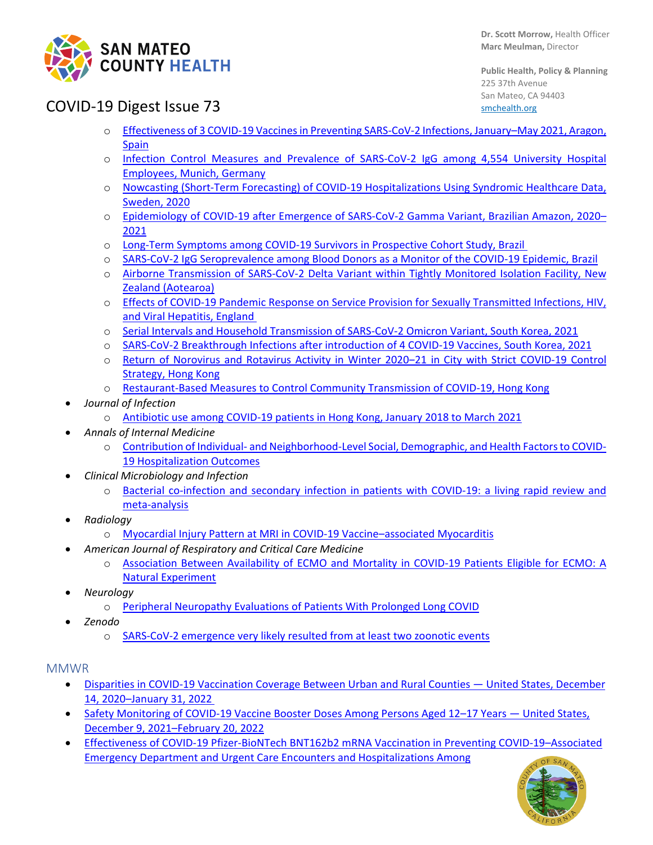

## COVID-19 Digest Issue 73

- o [Effectiveness of 3 COVID-19 Vaccines in Preventing SARS-CoV-2 Infections, January–May 2021, Aragon,](https://protect-us.mimecast.com/s/k4bMCPNKzmulNKJKtPHRTT)  [Spain](https://protect-us.mimecast.com/s/k4bMCPNKzmulNKJKtPHRTT)
- o [Infection Control Measures and Prevalence of SARS-CoV-2 IgG among 4,554 University Hospital](https://protect-us.mimecast.com/s/UYIqCQWK6JsxlkJkFYvgoc)  [Employees, Munich, Germany](https://protect-us.mimecast.com/s/UYIqCQWK6JsxlkJkFYvgoc)
- o [Nowcasting \(Short-Term Forecasting\) of COVID-19 Hospitalizations Using Syndromic Healthcare Data,](https://protect-us.mimecast.com/s/eYTtC1wpG1cRBMLMiMB7Fx)  [Sweden, 2020](https://protect-us.mimecast.com/s/eYTtC1wpG1cRBMLMiMB7Fx)
- o [Epidemiology of COVID-19 after Emergence of SARS-CoV-2 Gamma Variant, Brazilian Amazon, 2020–](https://protect-us.mimecast.com/s/LOlDCjRg0QI9GnZnC8kx8X) [2021](https://protect-us.mimecast.com/s/LOlDCjRg0QI9GnZnC8kx8X)
- o [Long-Term Symptoms among COVID-19 Survivors in Prospective Cohort Study, Brazil](https://protect-us.mimecast.com/s/N-4xCkRjrQINXOoOSMYzSX)
- o [SARS-CoV-2 IgG Seroprevalence among Blood Donors as a Monitor of the COVID-19 Epidemic, Brazil](https://protect-us.mimecast.com/s/E7-oCpYokwTDAyR5fve8D9)
- o [Airborne Transmission of SARS-CoV-2 Delta Variant within Tightly Monitored Isolation Facility, New](https://protect-us.mimecast.com/s/uf4LCL91v6hvwRlRCA346t)  [Zealand \(Aotearoa\)](https://protect-us.mimecast.com/s/uf4LCL91v6hvwRlRCA346t)
- o [Effects of COVID-19 Pandemic Response on Service Provision for Sexually Transmitted Infections, HIV,](https://protect-us.mimecast.com/s/ZgHtCmZ0YRT2Pjkjfg6bXD)  [and Viral Hepatitis, England](https://protect-us.mimecast.com/s/ZgHtCmZ0YRT2Pjkjfg6bXD)
- o [Serial Intervals and Household Transmission of SARS-CoV-2 Omicron Variant, South Korea, 2021](https://protect-us.mimecast.com/s/n6_VCxkz2qFOR1P1H88gtKb)
- o [SARS-CoV-2 Breakthrough Infections after introduction of 4 COVID-19 Vaccines, South Korea, 2021](https://protect-us.mimecast.com/s/YA5tCzp47PcLwMOMc4gXLeB)
- o Return of Norovirus and Rotavirus Activity in Winter 2020–21 in City with Strict COVID-19 Control [Strategy, Hong Kong](https://protect-us.mimecast.com/s/n7ZMCn5mgQF537r7CnIWMP)
- o [Restaurant-Based Measures to Control Community Transmission of COVID-19, Hong Kong](https://protect-us.mimecast.com/s/ldP6Cv2x8qIXL7r7ID7TKn)
- *Journal of Infection*
	- o [Antibiotic use among COVID-19 patients in Hong Kong, January 2018 to March 2021](https://www.journalofinfection.com/article/S0163-4453(22)00078-0/fulltext)
- *Annals of Internal Medicine*
	- o Contribution of Individual- [and Neighborhood-Level Social, Demographic, and Health Factors to COVID-](https://www.acpjournals.org/doi/10.7326/M21-2615)[19 Hospitalization Outcomes](https://www.acpjournals.org/doi/10.7326/M21-2615)
- *Clinical Microbiology and Infection*
	- o [Bacterial co-infection and secondary infection in patients with COVID-19: a living rapid review and](https://www.sciencedirect.com/science/article/pii/S1198743X20304237)  [meta-analysis](https://www.sciencedirect.com/science/article/pii/S1198743X20304237)
- *Radiology*
	- o [Myocardial Injury Pattern at MRI in COVID-19 Vaccine–associated Myocarditis](https://pubs.rsna.org/doi/10.1148/radiol.212559)
- *American Journal of Respiratory and Critical Care Medicine*
	- o [Association Between Availability of ECMO and Mortality in COVID-19 Patients Eligible for ECMO: A](https://www.atsjournals.org/doi/10.1164/rccm.202110-2399LE)  [Natural Experiment](https://www.atsjournals.org/doi/10.1164/rccm.202110-2399LE)
- *Neurology*
	- o [Peripheral Neuropathy Evaluations of Patients With Prolonged Long COVID](https://nn.neurology.org/content/9/3/e1146)
- *Zenodo*
	- o [SARS-CoV-2 emergence very likely resulted from at least two zoonotic events](https://zenodo.org/record/6291628#.YiERsRPMI1L)

### MMWR

- [Disparities in COVID-19 Vaccination Coverage Between Urban and Rural Counties —](https://protect-us.mimecast.com/s/pGQHClYk2QT7DA1NfYtdhS) United States, December [14, 2020–January 31, 2022](https://protect-us.mimecast.com/s/pGQHClYk2QT7DA1NfYtdhS)
- Safety Monitoring of COVID-19 Vaccine Booster Doses Among Persons Aged 12-17 Years United States, [December 9, 2021–February 20, 2022](https://protect-us.mimecast.com/s/0HCfCyPA9lInKp5OTR5ZOG)
- [Effectiveness of COVID-19 Pfizer-BioNTech BNT162b2 mRNA Vaccination in Preventing COVID-19–Associated](https://protect-us.mimecast.com/s/GbuECzp47PcLE7oWcogU6p)  [Emergency Department and Urgent Care Encounters and Hospitalizations Among](https://protect-us.mimecast.com/s/GbuECzp47PcLE7oWcogU6p)

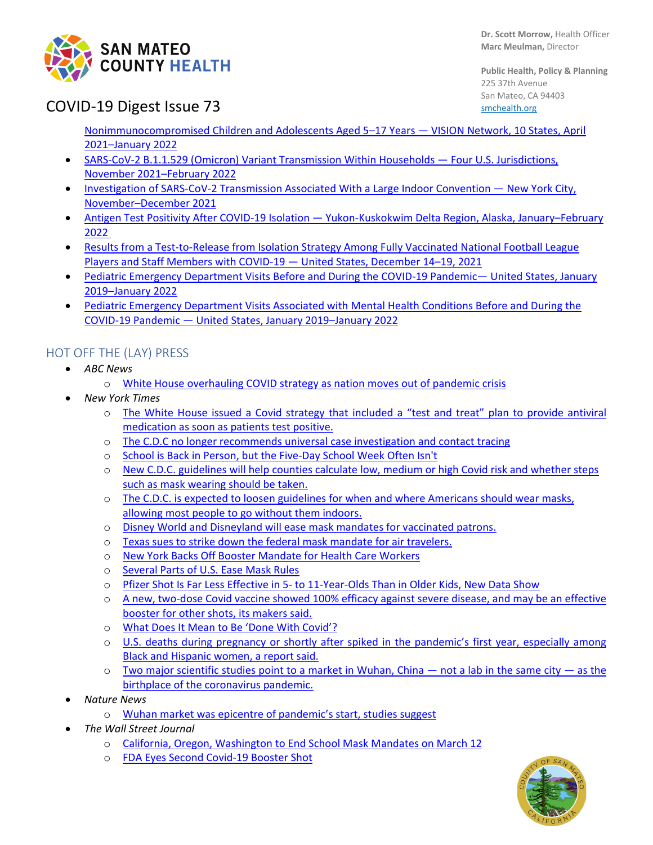

**Dr. Scott Morrow,** Health Officer **Marc Meulman,** Director

**Public Health, Policy & Planning** 225 37th Avenue San Mateo, CA 94403 [smchealth.org](https://www.smchealth.org/)

## COVID-19 Digest Issue 73

[Nonimmunocompromised Children and Adolescents Aged 5–17 Years —](https://protect-us.mimecast.com/s/GbuECzp47PcLE7oWcogU6p) VISION Network, 10 States, April [2021–January 2022](https://protect-us.mimecast.com/s/GbuECzp47PcLE7oWcogU6p)

- [SARS-CoV-2 B.1.1.529 \(Omicron\) Variant Transmission Within Households —](https://protect-us.mimecast.com/s/1lVGC68xBocDM6JxS5P5hS) Four U.S. Jurisdictions, [November 2021–February 2022](https://protect-us.mimecast.com/s/1lVGC68xBocDM6JxS5P5hS)
- [Investigation of SARS-CoV-2 Transmission Associated With a Large Indoor Convention —](https://www.cdc.gov/mmwr/volumes/71/wr/mm7107a4.htm) New York City, [November–December 2021](https://www.cdc.gov/mmwr/volumes/71/wr/mm7107a4.htm)
- Antigen Test Positivity After COVID-19 Isolation Yukon-Kuskokwim Delta Region, Alaska, January–February [2022](https://protect-us.mimecast.com/s/7drHCR6KPYcVRYQ0t0A4hk)
- [Results from a Test-to-Release from Isolation Strategy Among Fully Vaccinated National Football League](https://protect-us.mimecast.com/s/OQ7hCXDXrxFJqAGDixpPws)  [Players and Staff Members with COVID-19 —](https://protect-us.mimecast.com/s/OQ7hCXDXrxFJqAGDixpPws) United States, December 14–19, 2021
- [Pediatric Emergency Department Visits Before and During the COVID-19 Pandemic—](https://protect-us.mimecast.com/s/nL_QCZ6GzOcGDvx8tVwo_-) United States, January [2019–January 2022](https://protect-us.mimecast.com/s/nL_QCZ6GzOcGDvx8tVwo_-)
- [Pediatric Emergency Department Visits Associated with Mental Health Conditions Before and During the](https://protect-us.mimecast.com/s/eGzNC1wpG1cRkgOBHK0jL6)  COVID-19 Pandemic — [United States, January 2019–January 2022](https://protect-us.mimecast.com/s/eGzNC1wpG1cRkgOBHK0jL6)

### HOT OFF THE (LAY) PRESS

- *ABC News*
	- o [White House overhauling COVID strategy as nation moves out of pandemic crisis](https://abcnews.go.com/Politics/white-house-overhauling-covid-strategy-nation-moves-pandemic/story?id=83083431)
- *New York Times*
	- o [The White House issued a Covid strategy that included a "test and treat" plan to provide antiviral](https://protect-us.mimecast.com/s/fIVACrkqmZF9x4vYt4r__k)  [medication as soon as patients test positive.](https://protect-us.mimecast.com/s/fIVACrkqmZF9x4vYt4r__k)
	- [The C.D.C no longer recommends universal case investigation and contact tracing](https://www.nytimes.com/live/2022/03/02/world/covid-19-tests-cases-vaccine#cdc-contact-tracing)
	- [School is Back in Person, but the Five-Day School](https://www.nytimes.com/2022/02/28/upshot/schools-covid-closings.html) Week Often Isn't
	- o [New C.D.C. guidelines will help counties calculate low, medium or high Covid risk and whether steps](https://protect-us.mimecast.com/s/Ih8rCOYXPlTGwmNmHkKyQh)  [such as mask wearing should be taken.](https://protect-us.mimecast.com/s/Ih8rCOYXPlTGwmNmHkKyQh)
	- o [The C.D.C. is expected to loosen guidelines for when and where Americans should wear masks,](https://protect-us.mimecast.com/s/2Ip_CPNKzmulZQ2KU1HzkQ)  [allowing most people to go without them indoors.](https://protect-us.mimecast.com/s/2Ip_CPNKzmulZQ2KU1HzkQ)
	- o [Disney World and Disneyland will ease mask mandates for vaccinated patrons.](https://www.nytimes.com/live/2022/02/15/business/stock-market-economy-news#disney-world-masks-vaccines)
	- o [Texas sues to strike down the federal mask mandate for air travelers.](https://www.nytimes.com/2022/02/17/business/texas-airport-federal-mask-mandate.html)
	- o [New York Backs Off Booster Mandate for Health Care Workers](https://www.nytimes.com/live/2022/02/18/world/covid-19-tests-cases-vaccine#hawaii-is-the-only-state-that-has-not-yet-announced-plans-to-relax-mask-requirements)
	- o [Several Parts of U.S. Ease Mask Rules](https://www.nytimes.com/live/2022/02/23/world/covid-19-tests-cases-vaccine#us-mask-mandate-air-travel)
	- o Pfizer Shot Is Far Less Effective in 5- [to 11-Year-Olds Than in Older Kids, New Data Show](https://www.nytimes.com/2022/02/28/health/pfizer-vaccine-kids.html)
	- o [A new, two-dose Covid vaccine showed 100% efficacy against severe disease, and may be an effective](https://protect-us.mimecast.com/s/SOEoCJ6KNDcXA69RCzmA8R)  [booster for other shots, its makers said.](https://protect-us.mimecast.com/s/SOEoCJ6KNDcXA69RCzmA8R)
	- o [What Does It Mean to Be 'Done With Covid'?](https://www.nytimes.com/2022/01/24/opinion/done-with-covid.html?campaign_id=134&emc=edit_db_20220217&instance_id=53516&nl=debatable®i_id=130283546&segment_id=83102&te=1&user_id=d8aa95be707fe46c27653a88d04e4dc0)
	- o [U.S. deaths during pregnancy or shortly after spiked in the pandemic's first year, especially among](https://protect-us.mimecast.com/s/vGHdC9rAD6h1MkoyT3MnQk)  [Black and Hispanic women, a report said.](https://protect-us.mimecast.com/s/vGHdC9rAD6h1MkoyT3MnQk)
	- $\circ$  Two major scientific studies point to a market in Wuhan, China  $-$  not a lab in the same city  $-$  as the [birthplace of the coronavirus pandemic.](https://protect-us.mimecast.com/s/pS43CPNKzmulJvv4t1TGou)
- *Nature News*
	- o [Wuhan market was epicentre of pandemic's start, studies suggest](https://www.nature.com/articles/d41586-022-00584-8#ref-CR1)
- *The Wall Street Journal*
	- o [California, Oregon, Washington to End School Mask Mandates on March 12](https://www.wsj.com/articles/california-oregon-washington-to-end-school-mask-mandates-on-march-12-11646076621)
	- o [FDA Eyes Second Covid-19 Booster Shot](https://www.wsj.com/articles/fda-eyes-second-covid-19-booster-shot-11645282800?mod=Searchresults_pos15&page=1)

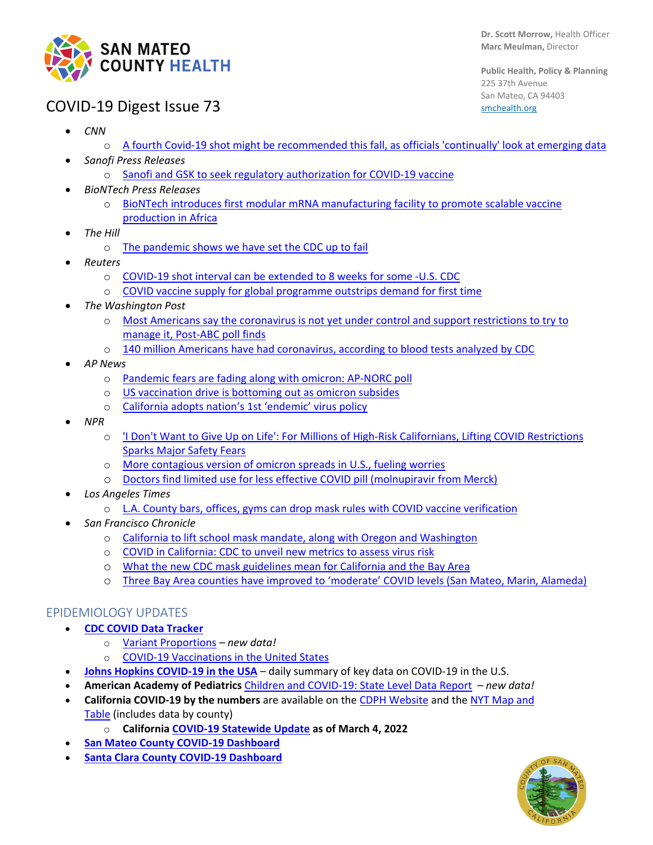

## COVID-19 Digest Issue 73

- *CNN*
	- o [A fourth Covid-19 shot might be recommended this fall, as officials 'continually' look at emerging data](https://www.cnn.com/2022/02/19/health/fourth-covid-19-vaccine-dose-us/index.html)
- *Sanofi Press Releases*
	- o [Sanofi and GSK to seek regulatory authorization for COVID-19 vaccine](https://www.sanofi.com/en/media-room/press-releases/2022/2022-02-23-11-15-00-2390091)
- *BioNTech Press Releases*
	- o [BioNTech introduces first modular mRNA manufacturing facility to promote scalable vaccine](https://investors.biontech.de/news-releases/news-release-details/biontech-introduces-first-modular-mrna-manufacturing-facility)  [production in Africa](https://investors.biontech.de/news-releases/news-release-details/biontech-introduces-first-modular-mrna-manufacturing-facility)
- *The Hill*
	- o [The pandemic shows we have set the CDC up to fail](https://thehill.com/opinion/healthcare/594874-the-pandemic-shows-we-have-set-up-the-cdc-to-fail?rl=1)
- *Reuters*
	- o [COVID-19 shot interval can be extended to 8 weeks for some -U.S. CDC](https://www.reuters.com/world/us/covid-19-shot-interval-can-be-extended-8-weeks-some-us-cdc-2022-02-23/)
	- o [COVID vaccine supply for global programme outstrips demand for first time](https://www.reuters.com/business/healthcare-pharmaceuticals/covax-vaccine-supply-outstrips-demand-first-time-2022-02-23/)
- *The Washington Post*
	- o [Most Americans say the coronavirus is not yet under control and support restrictions to try to](https://www.washingtonpost.com/health/2022/03/01/coronavirus-not-under-control-post-abc-poll/)  [manage it, Post-ABC poll finds](https://www.washingtonpost.com/health/2022/03/01/coronavirus-not-under-control-post-abc-poll/)
	- o [140 million Americans have had coronavirus, according to blood tests analyzed by CDC](https://www.washingtonpost.com/health/2022/02/28/covid-cases-nationwide/)
- *AP News*
	- o [Pandemic fears are fading along with omicron: AP-NORC poll](https://apnews.com/article/coronavirus-pandemic-health-pandemics-public-health-only-on-ap-eaaf9967f97089f6e869b08573c292b9)
	- o [US vaccination drive is bottoming out as omicron subsides](https://apnews.com/article/coronavirus-pandemic-health-us-news-alabama-4c0026679a346ea83a6a04f475a518ef)
	- o [California adopts nation's 1st 'endemic' virus policy](https://apnews.com/article/coronavirus-pandemic-health-california-pandemics-7fe43acafdedeeb334fe1448e87fb74a)
- *NPR*
	- o ['I Don't Want to Give Up on Life': For Millions of High-Risk Californians, Lifting COVID Restrictions](https://www.kqed.org/news/11906215/i-dont-want-to-give-up-on-life-for-millions-of-high-risk-californians-lifting-covid-restrictions-sparks-major-safety-fears)  [Sparks Major Safety Fears](https://www.kqed.org/news/11906215/i-dont-want-to-give-up-on-life-for-millions-of-high-risk-californians-lifting-covid-restrictions-sparks-major-safety-fears)
	- o [More contagious version of omicron spreads in U.S., fueling worries](https://www.npr.org/sections/health-shots/2022/02/21/1081810074/omicron-ba2-variant-spread)
	- o [Doctors find limited use for less effective COVID pill \(molnupiravir from Merck\)](https://www.npr.org/sections/health-shots/2022/02/22/1081898013/doctors-find-limited-use-for-less-effective-covid-pill)
- *Los Angeles Times*
	- o [L.A. County bars, offices, gyms can drop mask rules with COVID vaccine verification](https://www.latimes.com/california/story/2022-02-23/l-a-county-to-relax-mask-rules-at-places-with-vaccine-proof)
- *San Francisco Chronicle* 
	- o [California to lift school mask mandate, along with Oregon and Washington](https://www.sfchronicle.com/bayarea/article/California-lifts-school-mask-mandate-along-with-16958535.php)
	- o [COVID in California: CDC to unveil new metrics to assess virus risk](https://www.sfchronicle.com/health/article/COVID-in-California-CDC-to-unveil-new-metrics-to-16942543.php)
	- o [What the new CDC mask guidelines mean for California and the Bay Area](https://www.sfchronicle.com/health/article/What-the-new-CDC-mask-guidelines-mean-for-16948064.php)
	- o [Three Bay Area counties have improved to 'moderate' COVID levels \(San Mateo, Marin, Alameda\)](https://www.sfchronicle.com/health/article/COVID-deaths-are-decreasing-in-most-states-but-16939370.php)

#### EPIDEMIOLOGY UPDATES

- **[CDC COVID Data Tracker](https://covid.cdc.gov/covid-data-tracker/#datatracker-home)**
	- o [Variant Proportions](https://covid.cdc.gov/covid-data-tracker/#variant-proportions) *– new data!*
	- o [COVID-19 Vaccinations in the United States](https://covid.cdc.gov/covid-data-tracker/#vaccinations_vacc-total-admin-rate-total)
- **[Johns Hopkins COVID-19 in the USA](https://coronavirus.jhu.edu/)** daily summary of key data on COVID-19 in the U.S.
- **American Academy of Pediatrics** [Children and COVID-19: State Level Data Report](https://www.aap.org/en/pages/2019-novel-coronavirus-covid-19-infections/children-and-covid-19-state-level-data-report/) *– new data!*
- **California COVID-19 by the numbers** are available on the [CDPH Website](https://www.cdph.ca.gov/Programs/CID/DCDC/Pages/Immunization/ncov2019.aspx#COVID-19%20by%20the%20Numbers) and the [NYT Map and](https://www.nytimes.com/interactive/2020/us/california-coronavirus-cases.html)  [Table](https://www.nytimes.com/interactive/2020/us/california-coronavirus-cases.html) (includes data by county)
	- o **Californi[a COVID-19 Statewide Update](https://update.covid19.ca.gov/) as of March 4, 2022**
- **[San Mateo County COVID-19 Dashboard](https://www.smchealth.org/post/san-mateo-county-covid-19-data-1)**
- **[Santa Clara County COVID-19 Dashboard](https://www.sccgov.org/sites/covid19/Pages/dashboard.aspx)**